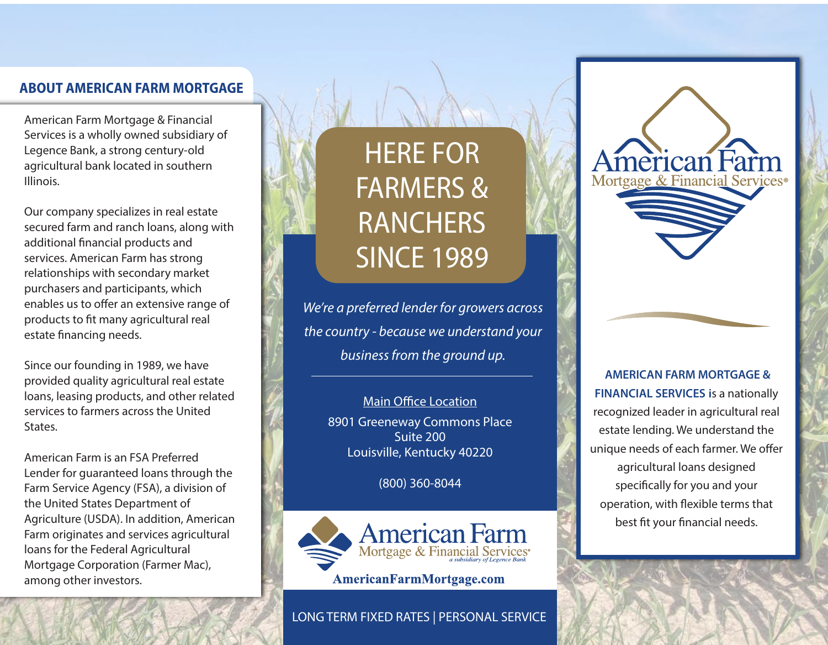## **ABOUT AMERICAN FARM MORTGAGE**

American Farm Mortgage & Financial Services is a wholly owned subsidiary of Legence Bank, a strong century-old agricultural bank located in southern Illinois.

Our company specializes in real estate secured farm and ranch loans, along with additional financial products and services. American Farm has strong relationships with secondary market purchasers and participants, which enables us to offer an extensive range of products to fit many agricultural real estate financing needs.

Since our founding in 1989, we have provided quality agricultural real estate loans, leasing products, and other related services to farmers across the United States.

American Farm is an FSA Preferred Lender for guaranteed loans through the Farm Service Agency (FSA), a division of the United States Department of Agriculture (USDA). In addition, American Farm originates and services agricultural loans for the Federal Agricultural Mortgage Corporation (Farmer Mac), among other investors.

# HERE FOR FARMERS & **RANCHERS** SINCE 1989

*We're a preferred lender for growers across the country - because we understand your business from the ground up.*

> Main Office Location 8901 Greeneway Commons Place Suite 200 Louisville, Kentucky 40220

> > (800) 360-8044



LONG TERM FIXED RATES | PERSONAL SERVICE

 **AMERICAN FARM MORTGAGE & FINANCIAL SERVICES i**s a nationally recognized leader in agricultural real estate lending. We understand the unique needs of each farmer. We offer agricultural loans designed specifically for you and your operation, with flexible terms that best fit your financial needs.

American Farm Mortgage & Financial Services®